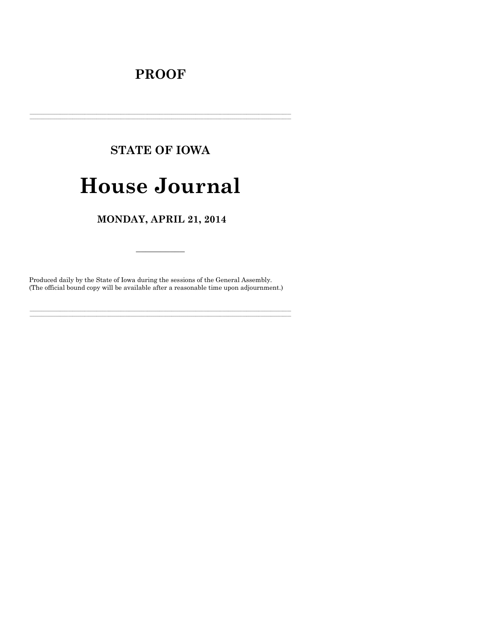## **PROOF**

# **STATE OF IOWA**

## **House Journal**

### MONDAY, APRIL 21, 2014

Produced daily by the State of Iowa during the sessions of the General Assembly. (The official bound copy will be available after a reasonable time upon adjournment.)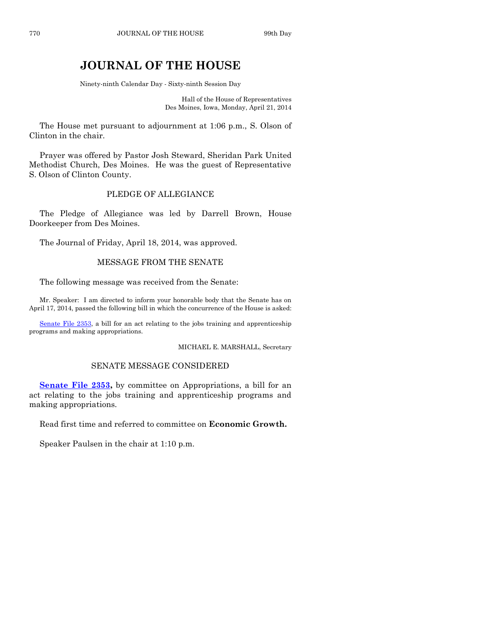## **JOURNAL OF THE HOUSE**

Ninety-ninth Calendar Day - Sixty-ninth Session Day

Hall of the House of Representatives Des Moines, Iowa, Monday, April 21, 2014

The House met pursuant to adjournment at 1:06 p.m., S. Olson of Clinton in the chair.

Prayer was offered by Pastor Josh Steward, Sheridan Park United Methodist Church, Des Moines. He was the guest of Representative S. Olson of Clinton County.

#### PLEDGE OF ALLEGIANCE

The Pledge of Allegiance was led by Darrell Brown, House Doorkeeper from Des Moines.

The Journal of Friday, April 18, 2014, was approved.

#### MESSAGE FROM THE SENATE

The following message was received from the Senate:

Mr. Speaker: I am directed to inform your honorable body that the Senate has on April 17, 2014, passed the following bill in which the concurrence of the House is asked:

[Senate File 2353,](http://coolice.legis.iowa.gov/Cool-ICE/default.asp?Category=billinfo&Service=Billbook&frame=1&GA=85&hbill=SF2353) a bill for an act relating to the jobs training and apprenticeship programs and making appropriations.

MICHAEL E. MARSHALL, Secretary

#### SENATE MESSAGE CONSIDERED

**[Senate File 2353,](http://coolice.legis.iowa.gov/Cool-ICE/default.asp?Category=billinfo&Service=Billbook&frame=1&GA=85&hbill=SF2353)** by committee on Appropriations, a bill for an act relating to the jobs training and apprenticeship programs and making appropriations.

Read first time and referred to committee on **Economic Growth.**

Speaker Paulsen in the chair at 1:10 p.m.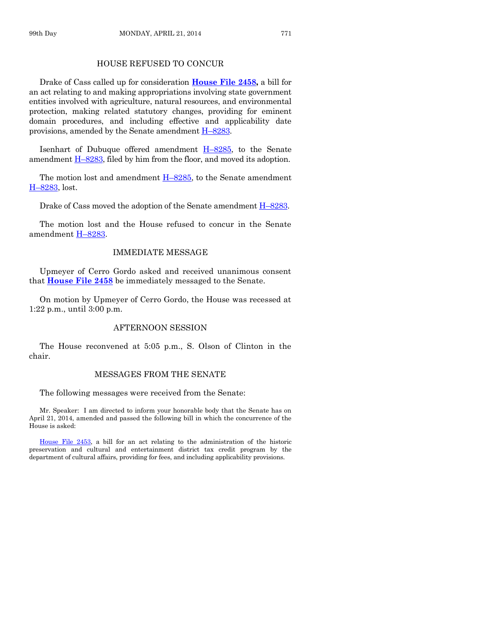Drake of Cass called up for consideration **[House File 2458,](http://coolice.legis.iowa.gov/Cool-ICE/default.asp?Category=billinfo&Service=Billbook&frame=1&GA=85&hbill=HF2458)** a bill for an act relating to and making appropriations involving state government entities involved with agriculture, natural resources, and environmental protection, making related statutory changes, providing for eminent domain procedures, and including effective and applicability date provisions, amended by the Senate amendment  $H$ –[8283.](http://coolice.legis.iowa.gov/Cool-ICE/default.asp?Category=billinfo&Service=Billbook&frame=1&GA=85&hbill=H8283)

Isenhart of Dubuque offered amendment H–[8285,](http://coolice.legis.iowa.gov/Cool-ICE/default.asp?Category=billinfo&Service=Billbook&frame=1&GA=85&hbill=H8285) to the Senate amendment  $H-8283$ , filed by him from the floor, and moved its adoption.

The motion lost and amendment  $H-8285$ , to the Senate amendment H–[8283,](http://coolice.legis.iowa.gov/Cool-ICE/default.asp?Category=billinfo&Service=Billbook&frame=1&GA=85&hbill=H8283) lost.

Drake of Cass moved the adoption of the Senate amendment H–[8283.](http://coolice.legis.iowa.gov/Cool-ICE/default.asp?Category=billinfo&Service=Billbook&frame=1&GA=85&hbill=H8283)

The motion lost and the House refused to concur in the Senate amendment H–[8283.](http://coolice.legis.iowa.gov/Cool-ICE/default.asp?Category=billinfo&Service=Billbook&frame=1&GA=85&hbill=H8283)

#### IMMEDIATE MESSAGE

Upmeyer of Cerro Gordo asked and received unanimous consent that **[House File 2458](http://coolice.legis.iowa.gov/Cool-ICE/default.asp?Category=billinfo&Service=Billbook&frame=1&GA=85&hbill=HF2458)** be immediately messaged to the Senate.

On motion by Upmeyer of Cerro Gordo, the House was recessed at 1:22 p.m., until 3:00 p.m.

#### AFTERNOON SESSION

The House reconvened at 5:05 p.m., S. Olson of Clinton in the chair.

#### MESSAGES FROM THE SENATE

The following messages were received from the Senate:

Mr. Speaker: I am directed to inform your honorable body that the Senate has on April 21, 2014, amended and passed the following bill in which the concurrence of the House is asked:

[House File 2453,](http://coolice.legis.iowa.gov/Cool-ICE/default.asp?Category=billinfo&Service=Billbook&frame=1&GA=85&hbill=HF2453) a bill for an act relating to the administration of the historic preservation and cultural and entertainment district tax credit program by the department of cultural affairs, providing for fees, and including applicability provisions.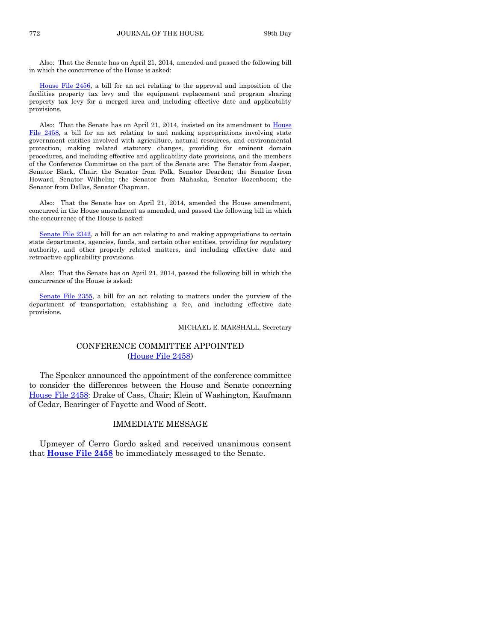Also: That the Senate has on April 21, 2014, amended and passed the following bill in which the concurrence of the House is asked:

[House File 2456,](http://coolice.legis.iowa.gov/Cool-ICE/default.asp?Category=billinfo&Service=Billbook&frame=1&GA=85&hbill=HF2456) a bill for an act relating to the approval and imposition of the facilities property tax levy and the equipment replacement and program sharing property tax levy for a merged area and including effective date and applicability provisions.

Also: That the Senate has on April 21, 2014, insisted on its amendment to [House](http://coolice.legis.iowa.gov/Cool-ICE/default.asp?Category=billinfo&Service=Billbook&frame=1&GA=85&hbill=HF2458)  [File 2458,](http://coolice.legis.iowa.gov/Cool-ICE/default.asp?Category=billinfo&Service=Billbook&frame=1&GA=85&hbill=HF2458) a bill for an act relating to and making appropriations involving state government entities involved with agriculture, natural resources, and environmental protection, making related statutory changes, providing for eminent domain procedures, and including effective and applicability date provisions, and the members of the Conference Committee on the part of the Senate are: The Senator from Jasper, Senator Black, Chair; the Senator from Polk, Senator Dearden; the Senator from Howard, Senator Wilhelm; the Senator from Mahaska, Senator Rozenboom; the Senator from Dallas, Senator Chapman.

Also: That the Senate has on April 21, 2014, amended the House amendment, concurred in the House amendment as amended, and passed the following bill in which the concurrence of the House is asked:

[Senate File 2342,](http://coolice.legis.iowa.gov/Cool-ICE/default.asp?Category=billinfo&Service=Billbook&frame=1&GA=85&hbill=SF2342) a bill for an act relating to and making appropriations to certain state departments, agencies, funds, and certain other entities, providing for regulatory authority, and other properly related matters, and including effective date and retroactive applicability provisions.

Also: That the Senate has on April 21, 2014, passed the following bill in which the concurrence of the House is asked:

[Senate File 2355,](http://coolice.legis.iowa.gov/Cool-ICE/default.asp?Category=billinfo&Service=Billbook&frame=1&GA=85&hbill=SF2355) a bill for an act relating to matters under the purview of the department of transportation, establishing a fee, and including effective date provisions.

#### MICHAEL E. MARSHALL, Secretary

#### CONFERENCE COMMITTEE APPOINTED [\(House File 2458\)](http://coolice.legis.iowa.gov/Cool-ICE/default.asp?Category=billinfo&Service=Billbook&frame=1&GA=85&hbill=HF2458)

The Speaker announced the appointment of the conference committee to consider the differences between the House and Senate concerning [House File 2458:](http://coolice.legis.iowa.gov/Cool-ICE/default.asp?Category=billinfo&Service=Billbook&frame=1&GA=85&hbill=HF2458) Drake of Cass, Chair; Klein of Washington, Kaufmann of Cedar, Bearinger of Fayette and Wood of Scott.

#### IMMEDIATE MESSAGE

Upmeyer of Cerro Gordo asked and received unanimous consent that **[House File 2458](http://coolice.legis.iowa.gov/Cool-ICE/default.asp?Category=billinfo&Service=Billbook&frame=1&GA=85&hbill=HF2458)** be immediately messaged to the Senate.